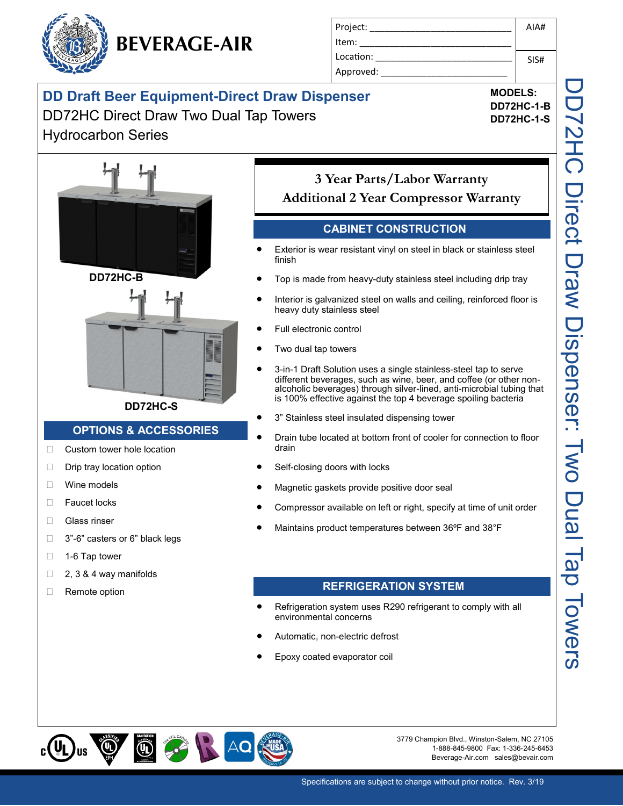

| Project:  | AIA# |
|-----------|------|
| Item:     |      |
| Location: | SIS# |
| Approved: |      |

**MODELS: DD72HC-1-B DD72HC-1-S**

# **DD Draft Beer Equipment-Direct Draw Dispenser** DD72HC Direct Draw Two Dual Tap Towers

# Hydrocarbon Series



#### **DD72HC-S**

#### **OPTIONS & ACCESSORIES**

- □ Custom tower hole location
- $\Box$  Drip tray location option
- □ Wine models
- □ Faucet locks
- Glass rinser
- □ 3"-6" casters or 6" black legs
- $\Box$  1-6 Tap tower
- $\Box$  2, 3 & 4 way manifolds
- □ Remote option

## **3 Year Parts/Labor Warranty Additional 2 Year Compressor Warranty**

#### **CABINET CONSTRUCTION**

- Exterior is wear resistant vinyl on steel in black or stainless steel finish
- Top is made from heavy-duty stainless steel including drip tray
- Interior is galvanized steel on walls and ceiling, reinforced floor is heavy duty stainless steel
- Full electronic control
- Two dual tap towers
- 3-in-1 Draft Solution uses a single stainless-steel tap to serve different beverages, such as wine, beer, and coffee (or other nonalcoholic beverages) through silver-lined, anti-microbial tubing that is 100% effective against the top 4 beverage spoiling bacteria
- 3" Stainless steel insulated dispensing tower
- Drain tube located at bottom front of cooler for connection to floor drain
- Self-closing doors with locks
- Magnetic gaskets provide positive door seal
- Compressor available on left or right, specify at time of unit order
- Maintains product temperatures between 36ºF and 38°F

#### **REFRIGERATION SYSTEM**

- Refrigeration system uses R290 refrigerant to comply with all environmental concerns
- Automatic, non-electric defrost
- Epoxy coated evaporator coil



3779 Champion Blvd., Winston-Salem, NC 27105 1-888-845-9800 Fax: 1-336-245-6453 Beverage-Air.com sales@bevair.com